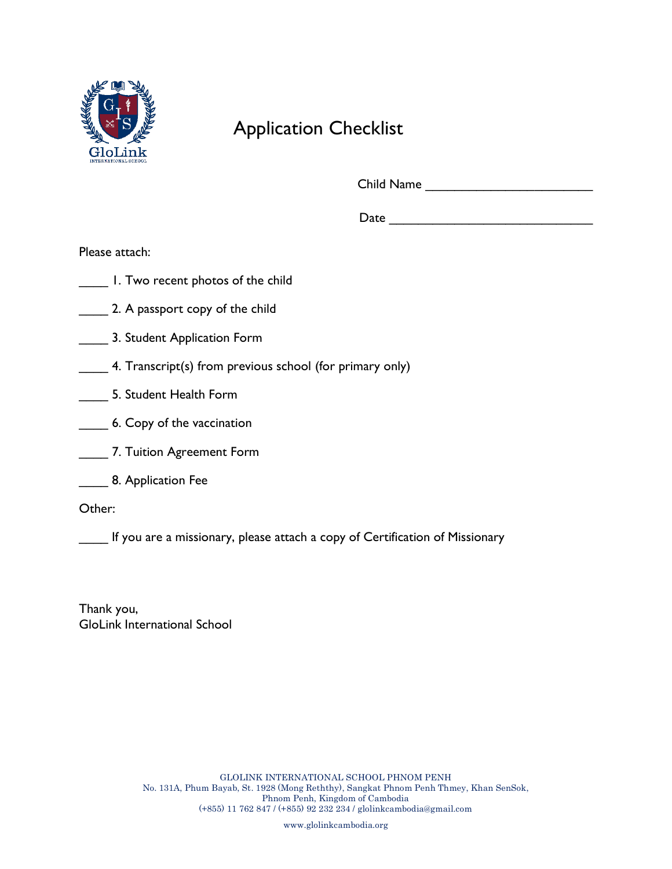

#### Application Checklist

Child Name \_\_\_\_\_\_\_\_\_\_\_\_\_\_\_\_\_\_\_\_\_\_\_

 $Date$ 

Please attach:

- \_\_\_\_ 1. Two recent photos of the child
- **2.** A passport copy of the child
- **EXECUTE:** 3. Student Application Form
- \_\_\_\_ 4. Transcript(s) from previous school (for primary only)
- \_\_\_\_ 5. Student Health Form
- **6. Copy of the vaccination**
- **T. Tuition Agreement Form**
- **EXEC** 8. Application Fee

Other:

If you are a missionary, please attach a copy of Certification of Missionary

Thank you, GloLink International School

www.glolinkcambodia.org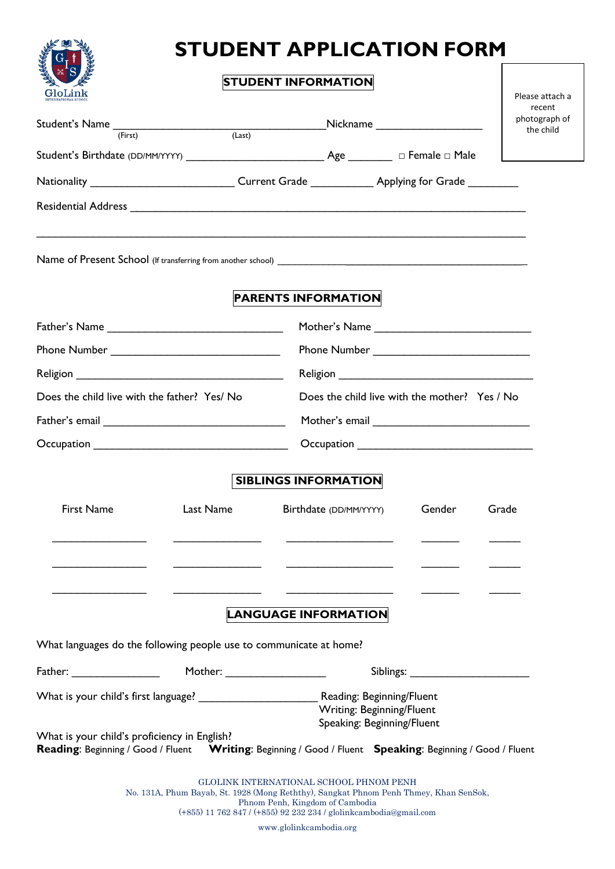

# **STUDENT APPLICATION FORM**

|                                                                    |                              | <b>STUDENT INFORMATION</b>                                                                                                       |                            |  |  |  |  |  |
|--------------------------------------------------------------------|------------------------------|----------------------------------------------------------------------------------------------------------------------------------|----------------------------|--|--|--|--|--|
| GloLink                                                            |                              |                                                                                                                                  | Please attach a<br>recent  |  |  |  |  |  |
| Student's Name (First) (Last)                                      |                              | Nickname                                                                                                                         | photograph of<br>the child |  |  |  |  |  |
|                                                                    |                              |                                                                                                                                  |                            |  |  |  |  |  |
|                                                                    |                              |                                                                                                                                  |                            |  |  |  |  |  |
|                                                                    |                              |                                                                                                                                  |                            |  |  |  |  |  |
|                                                                    |                              |                                                                                                                                  |                            |  |  |  |  |  |
|                                                                    |                              |                                                                                                                                  |                            |  |  |  |  |  |
|                                                                    |                              | <b>PARENTS INFORMATION</b>                                                                                                       |                            |  |  |  |  |  |
|                                                                    |                              |                                                                                                                                  |                            |  |  |  |  |  |
| Phone Number _________________________________                     |                              | Phone Number _________________________________                                                                                   |                            |  |  |  |  |  |
| <b>Religion Example 2018</b>                                       |                              |                                                                                                                                  |                            |  |  |  |  |  |
| Does the child live with the father? Yes/ No                       |                              | Does the child live with the mother? Yes / No                                                                                    |                            |  |  |  |  |  |
|                                                                    |                              |                                                                                                                                  |                            |  |  |  |  |  |
|                                                                    |                              |                                                                                                                                  |                            |  |  |  |  |  |
|                                                                    |                              |                                                                                                                                  |                            |  |  |  |  |  |
|                                                                    |                              | <b>SIBLINGS INFORMATION</b>                                                                                                      |                            |  |  |  |  |  |
| <b>First Name</b>                                                  | Last Name                    | Birthdate (DD/MM/YYYY)                                                                                                           | Gender<br>Grade            |  |  |  |  |  |
|                                                                    |                              |                                                                                                                                  |                            |  |  |  |  |  |
|                                                                    |                              |                                                                                                                                  |                            |  |  |  |  |  |
|                                                                    |                              | <b>LANGUAGE INFORMATION</b>                                                                                                      |                            |  |  |  |  |  |
| What languages do the following people use to communicate at home? |                              |                                                                                                                                  |                            |  |  |  |  |  |
| $\tt{Father: ____________}$                                        | Mother: ____________________ |                                                                                                                                  |                            |  |  |  |  |  |
|                                                                    |                              |                                                                                                                                  |                            |  |  |  |  |  |
|                                                                    |                              |                                                                                                                                  |                            |  |  |  |  |  |
| What is your child's proficiency in English?                       |                              | Speaking: Beginning/Fluent                                                                                                       |                            |  |  |  |  |  |
|                                                                    |                              | Reading: Beginning / Good / Fluent Writing: Beginning / Good / Fluent Speaking: Beginning / Good / Fluent                        |                            |  |  |  |  |  |
|                                                                    |                              |                                                                                                                                  |                            |  |  |  |  |  |
|                                                                    |                              | GLOLINK INTERNATIONAL SCHOOL PHNOM PENH<br>No. 131A, Phum Bayab, St. 1928 (Mong Reththy), Sangkat Phnom Penh Thmey, Khan SenSok, |                            |  |  |  |  |  |
|                                                                    |                              | Phnom Penh, Kingdom of Cambodia<br>(+855) 11 762 847 / (+855) 92 232 234 / glolinkcambodia@gmail.com                             |                            |  |  |  |  |  |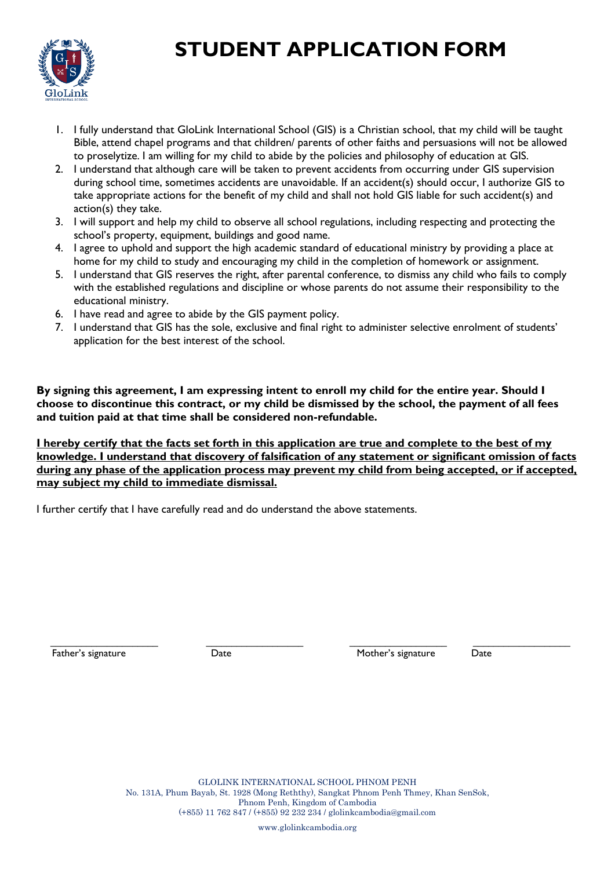### **STUDENT APPLICATION FORM**



- 1. I fully understand that GloLink International School (GIS) is a Christian school, that my child will be taught Bible, attend chapel programs and that children/ parents of other faiths and persuasions will not be allowed to proselytize. I am willing for my child to abide by the policies and philosophy of education at GIS.
- 2. I understand that although care will be taken to prevent accidents from occurring under GIS supervision during school time, sometimes accidents are unavoidable. If an accident(s) should occur, I authorize GIS to take appropriate actions for the benefit of my child and shall not hold GIS liable for such accident(s) and action(s) they take.
- 3. I will support and help my child to observe all school regulations, including respecting and protecting the school's property, equipment, buildings and good name.
- 4. I agree to uphold and support the high academic standard of educational ministry by providing a place at home for my child to study and encouraging my child in the completion of homework or assignment.
- 5. I understand that GIS reserves the right, after parental conference, to dismiss any child who fails to comply with the established regulations and discipline or whose parents do not assume their responsibility to the educational ministry.
- 6. I have read and agree to abide by the GIS payment policy.
- 7. I understand that GIS has the sole, exclusive and final right to administer selective enrolment of students' application for the best interest of the school.

**By signing this agreement, I am expressing intent to enroll my child for the entire year. Should I choose to discontinue this contract, or my child be dismissed by the school, the payment of all fees and tuition paid at that time shall be considered non-refundable.**

**I hereby certify that the facts set forth in this application are true and complete to the best of my knowledge. I understand that discovery of falsification of any statement or significant omission of facts during any phase of the application process may prevent my child from being accepted, or if accepted, may subject my child to immediate dismissal.**

I further certify that I have carefully read and do understand the above statements.

\_\_\_\_\_\_\_\_\_\_\_\_\_\_\_\_\_\_\_\_\_ \_\_\_\_\_\_\_\_\_\_\_\_\_\_\_\_\_\_\_ \_\_\_\_\_\_\_\_\_\_\_\_\_\_\_\_\_\_\_ \_\_\_\_\_\_\_\_\_\_\_\_\_\_\_\_\_\_\_ Father's signature Tather's signature Date Date Date Mother's signature Date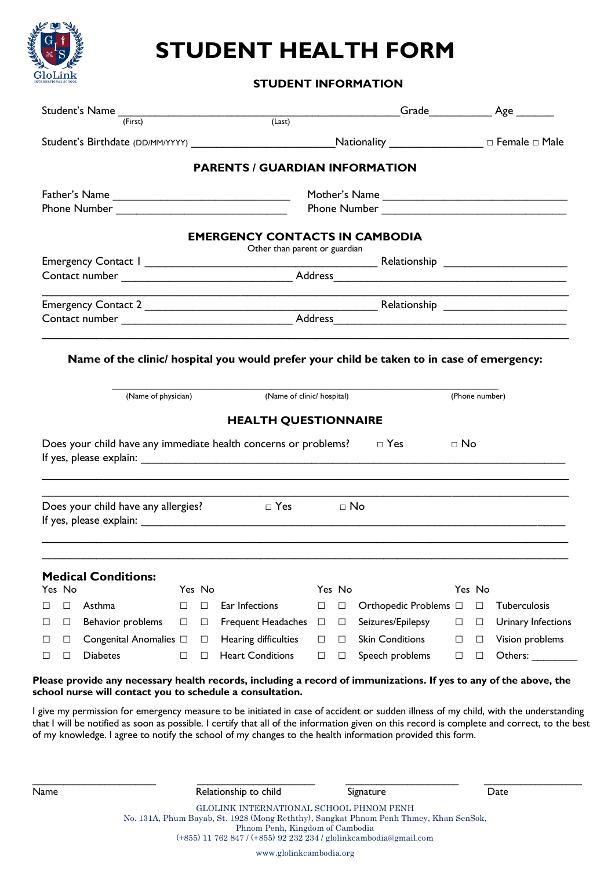

## **STUDENT HEALTH FORM**

**STUDENT INFORMATION**

| Student's Name (First) (Last)                                                                                     |                  |                                                                        |        |           | Grade Age              |                |        |                    |
|-------------------------------------------------------------------------------------------------------------------|------------------|------------------------------------------------------------------------|--------|-----------|------------------------|----------------|--------|--------------------|
|                                                                                                                   |                  |                                                                        |        |           |                        |                |        |                    |
|                                                                                                                   |                  | <b>PARENTS / GUARDIAN INFORMATION</b>                                  |        |           |                        |                |        |                    |
|                                                                                                                   |                  |                                                                        |        |           |                        |                |        |                    |
|                                                                                                                   |                  |                                                                        |        |           |                        |                |        |                    |
|                                                                                                                   |                  | <b>EMERGENCY CONTACTS IN CAMBODIA</b><br>Other than parent or guardian |        |           |                        |                |        |                    |
|                                                                                                                   |                  |                                                                        |        |           |                        |                |        |                    |
|                                                                                                                   |                  |                                                                        |        |           |                        |                |        |                    |
|                                                                                                                   |                  |                                                                        |        |           |                        |                |        |                    |
|                                                                                                                   |                  |                                                                        |        |           |                        |                |        |                    |
| Name of the clinic/ hospital you would prefer your child be taken to in case of emergency:<br>(Name of physician) |                  | (Name of clinic/ hospital)<br><b>HEALTH QUESTIONNAIRE</b>              |        |           |                        | (Phone number) |        |                    |
| Does your child have any immediate health concerns or problems?                                                   |                  |                                                                        |        |           | $\Box$ Yes             | $\sqcap$ No    |        |                    |
| Does your child have any allergies?                                                                               |                  | $\Box$ Yes                                                             |        | $\Box$ No |                        |                |        |                    |
| <b>Medical Conditions:</b><br>Yes No                                                                              | Yes No           |                                                                        | Yes No |           |                        |                | Yes No |                    |
| Asthma<br>$\Box$<br>□                                                                                             | $\Box$<br>$\Box$ | Ear Infections                                                         | □      | $\Box$    | Orthopedic Problems □  |                | $\Box$ | Tuberculosis       |
| Behavior problems<br>$\Box$<br>⊔                                                                                  | $\Box$<br>□      | <b>Frequent Headaches</b>                                              | □      | $\Box$    | Seizures/Epilepsy      | □              | □      | Urinary Infections |
| Congenital Anomalies $\Box$<br>$\Box$<br>□                                                                        | $\Box$           | Hearing difficulties                                                   | □      | $\Box$    | <b>Skin Conditions</b> | $\Box$         | $\Box$ | Vision problems    |

I give my permission for emergency measure to be initiated in case of accident or sudden illness of my child, with the understanding that I will be notified as soon as possible. I certify that all of the information given on this record is complete and correct, to the best of my knowledge. I agree to notify the school of my changes to the health information provided this form.

GLOLINK INTERNATIONAL SCHOOL PHNOM PENH No. 131A, Phum Bayab, St. 1928 (Mong Reththy), Sangkat Phnom Penh Thmey, Khan SenSok, Phnom Penh, Kingdom of Cambodia (+855) 11 762 847 / (+855) 92 232 234 / glolinkcambodia@gmail.com www.glolinkcambodia.org \_\_\_\_\_\_\_\_\_\_\_\_\_\_\_\_\_\_\_\_\_\_\_\_ \_\_\_\_\_\_\_\_\_\_\_\_\_\_\_\_\_\_\_\_\_\_\_ \_\_\_\_\_\_\_\_\_\_\_\_\_\_\_\_\_\_\_\_\_\_ \_\_\_\_\_\_\_\_\_\_\_\_\_\_\_\_\_\_\_ Name **Relationship to child** Signature Signature Date